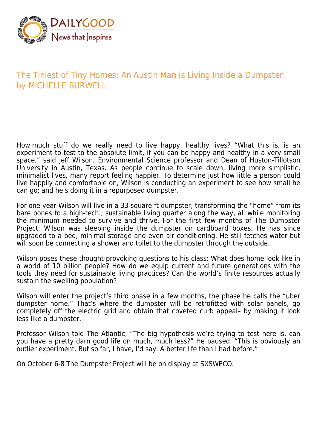

## The Tiniest of Tiny Homes: An Austin Man is Living Inside a Dumpster by MICHELLE BURWELL

How much stuff do we really need to live happy, healthy lives? "What this is, is an experiment to test to the absolute limit, if you can be happy and healthy in a very small space," said Jeff Wilson, Environmental Science professor and Dean of Huston-Tillotson University in Austin, Texas. As people continue to scale down, living more simplistic, minimalist lives, many report feeling happier. To determine just how little a person could live happily and comfortable on, Wilson is conducting an experiment to see how small he can go; and he's doing it in a repurposed dumpster.

For one year Wilson will live in a 33 square ft dumpster, transforming the "home" from its bare bones to a high-tech., sustainable living quarter along the way, all while monitoring the minimum needed to survive and thrive. For the first few months of The Dumpster Project, Wilson was sleeping inside the dumpster on cardboard boxes. He has since upgraded to a bed, minimal storage and even air conditioning. He still fetches water but will soon be connecting a shower and toilet to the dumpster through the outside.

Wilson poses these thought-provoking questions to his class: What does home look like in a world of 10 billion people? How do we equip current and future generations with the tools they need for sustainable living practices? Can the world's finite resources actually sustain the swelling population?

Wilson will enter the project's third phase in a few months, the phase he calls the "uber dumpster home." That's where the dumpster will be retrofitted with solar panels, go completely off the electric grid and obtain that coveted curb appeal– by making it look less like a dumpster.

Professor Wilson told The Atlantic, "The big hypothesis we're trying to test here is, can you have a pretty darn good life on much, much less?" He paused. "This is obviously an outlier experiment. But so far, I have, I'd say. A better life than I had before."

On October 6-8 The Dumpster Project will be on display at SXSWECO.